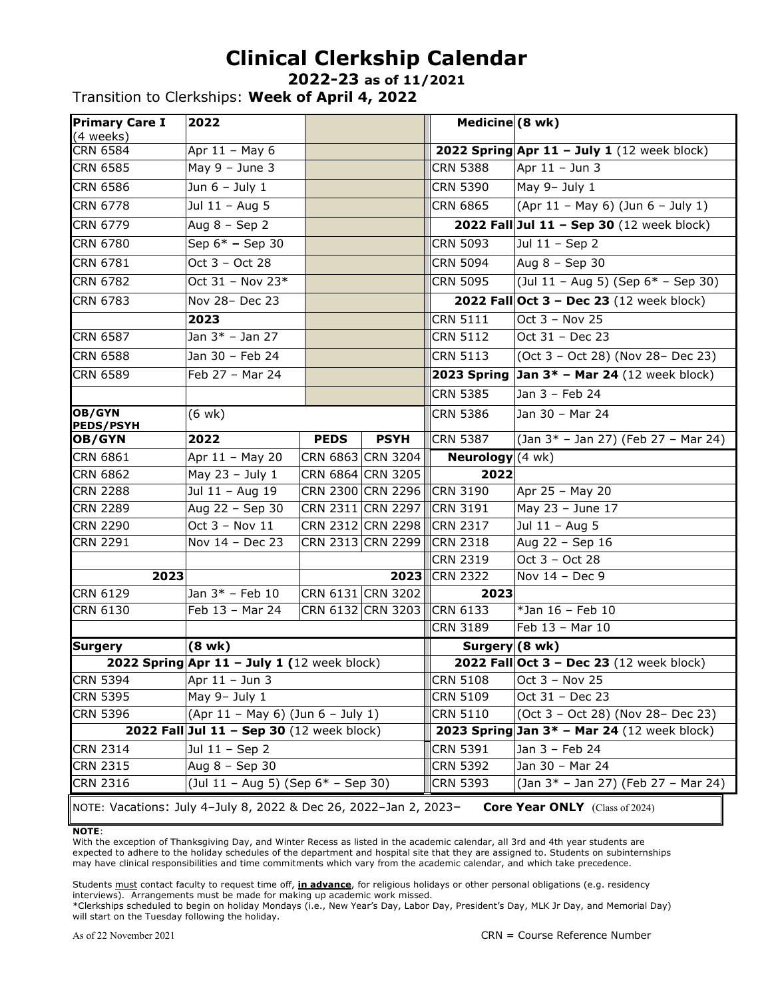## **Clinical Clerkship Calendar**

**2022-23 as of 11/2021**

Transition to Clerkships: **Week of April 4, 2022**

| <b>Primary Care I</b><br>(4 weeks)                                                                        | 2022                                        |             |                                        | Medicine (8 wk)                               |                                                    |
|-----------------------------------------------------------------------------------------------------------|---------------------------------------------|-------------|----------------------------------------|-----------------------------------------------|----------------------------------------------------|
| <b>CRN 6584</b>                                                                                           | Apr 11 - May 6                              |             |                                        |                                               | 2022 Spring Apr 11 - July 1 (12 week block)        |
| <b>CRN 6585</b>                                                                                           | May $9 -$ June 3                            |             |                                        | <b>CRN 5388</b>                               | Apr $11 -$ Jun 3                                   |
| <b>CRN 6586</b>                                                                                           | Jun $6 -$ July 1                            |             |                                        | <b>CRN 5390</b>                               | May 9- July 1                                      |
| <b>CRN 6778</b>                                                                                           | Jul 11 - Aug 5                              |             |                                        | <b>CRN 6865</b>                               | (Apr 11 - May 6) (Jun 6 - July 1)                  |
| <b>CRN 6779</b>                                                                                           | Aug $8 -$ Sep 2                             |             |                                        |                                               | 2022 Fall Jul 11 - Sep 30 (12 week block)          |
| <b>CRN 6780</b>                                                                                           | Sep 6* - Sep 30                             |             |                                        | <b>CRN 5093</b>                               | Jul 11 - Sep 2                                     |
| <b>CRN 6781</b>                                                                                           | Oct 3 - Oct 28                              |             |                                        | <b>CRN 5094</b>                               | Aug $8 -$ Sep 30                                   |
| <b>CRN 6782</b>                                                                                           | Oct $31 -$ Nov 23*                          |             |                                        | <b>CRN 5095</b>                               | (Jul 11 - Aug 5) (Sep $6*$ - Sep 30)               |
| <b>CRN 6783</b>                                                                                           | Nov 28- Dec 23                              |             |                                        |                                               | 2022 Fall Oct 3 - Dec 23 (12 week block)           |
|                                                                                                           | 2023                                        |             |                                        | <b>CRN 5111</b>                               | Oct $3 - Nov 25$                                   |
| <b>CRN 6587</b>                                                                                           | Jan 3* - Jan 27                             |             |                                        | <b>CRN 5112</b>                               | Oct 31 - Dec 23                                    |
| <b>CRN 6588</b>                                                                                           | Jan 30 - Feb 24                             |             |                                        | <b>CRN 5113</b>                               | (Oct 3 - Oct 28) (Nov 28- Dec 23)                  |
| <b>CRN 6589</b>                                                                                           | Feb 27 - Mar 24                             |             |                                        |                                               | <b>2023 Spring Jan 3* - Mar 24</b> (12 week block) |
|                                                                                                           |                                             |             |                                        | <b>CRN 5385</b>                               | Jan 3 - Feb 24                                     |
| OB/GYN<br><b>PEDS/PSYH</b>                                                                                | $(6 \text{ wk})$                            |             |                                        | <b>CRN 5386</b>                               | Jan 30 - Mar 24                                    |
| OB/GYN                                                                                                    | 2022                                        | <b>PEDS</b> | <b>PSYH</b>                            | <b>CRN 5387</b>                               | (Jan 3* - Jan 27) (Feb 27 - Mar 24)                |
| <b>CRN 6861</b>                                                                                           | Apr 11 - May 20                             |             | CRN 6863 CRN 3204                      | <b>Neurology</b> $(4 \text{ wk})$             |                                                    |
| <b>CRN 6862</b>                                                                                           | May 23 - July 1                             |             | CRN 6864 CRN 3205                      | 2022                                          |                                                    |
| <b>CRN 2288</b>                                                                                           | Jul 11 - Aug 19                             |             | CRN 2300 CRN 2296                      | CRN 3190                                      | Apr 25 - May 20                                    |
| <b>CRN 2289</b>                                                                                           | Aug 22 - Sep 30                             |             | CRN 2311 CRN 2297                      | <b>CRN 3191</b>                               | May 23 - June 17                                   |
| <b>CRN 2290</b>                                                                                           | Oct 3 - Nov 11                              |             | CRN 2312 CRN 2298                      | <b>CRN 2317</b>                               | Jul 11 - Aug 5                                     |
| <b>CRN 2291</b>                                                                                           | Nov 14 - Dec 23                             |             | CRN 2313 CRN 2299                      | <b>CRN 2318</b>                               | Aug 22 - Sep 16                                    |
|                                                                                                           |                                             |             |                                        | <b>CRN 2319</b>                               | Oct 3 - Oct 28                                     |
| 2023                                                                                                      |                                             |             | 2023                                   | <b>CRN 2322</b>                               | Nov 14 - Dec 9                                     |
| <b>CRN 6129</b><br>CRN 6130                                                                               | Jan $3*$ - Feb 10<br>Feb 13 - Mar 24        |             | CRN 6131 CRN 3202<br>CRN 6132 CRN 3203 | 2023<br>CRN 6133                              | *Jan 16 - Feb 10                                   |
|                                                                                                           |                                             |             |                                        | <b>CRN 3189</b>                               | Feb 13 - Mar 10                                    |
| Surgery                                                                                                   | $(8 \text{ wk})$                            |             |                                        | Surgery $(8 \text{ wk})$                      |                                                    |
|                                                                                                           | 2022 Spring Apr 11 - July 1 (12 week block) |             |                                        |                                               | 2022 Fall Oct 3 - Dec 23 (12 week block)           |
| CRN 5394 Apr 11 - Jun 3                                                                                   |                                             |             |                                        |                                               | $CRN 5108$ Oct 3 – Nov 25                          |
| <b>CRN 5395</b>                                                                                           | May 9- July 1                               |             |                                        | <b>CRN 5109</b>                               | Oct 31 - Dec 23                                    |
| <b>CRN 5396</b>                                                                                           | (Apr 11 - May 6) (Jun 6 - July 1)           |             |                                        | <b>CRN 5110</b>                               | (Oct 3 - Oct 28) (Nov 28- Dec 23)                  |
| 2022 Fall Jul 11 - Sep 30 (12 week block)                                                                 |                                             |             |                                        | 2023 Spring Jan $3*$ - Mar 24 (12 week block) |                                                    |
| <b>CRN 2314</b>                                                                                           | Jul 11 - Sep 2                              |             |                                        | <b>CRN 5391</b>                               | Jan 3 - Feb 24                                     |
| <b>CRN 2315</b>                                                                                           | Aug 8 - Sep 30                              |             |                                        | <b>CRN 5392</b>                               | Jan 30 - Mar 24                                    |
| <b>CRN 2316</b>                                                                                           | (Jul 11 - Aug 5) (Sep $6*$ - Sep 30)        |             |                                        | <b>CRN 5393</b>                               | (Jan 3* - Jan 27) (Feb 27 - Mar 24)                |
| NOTE: Vacations: July 4-July 8, 2022 & Dec 26, 2022-Jan 2, 2023-<br><b>Core Year ONLY</b> (Class of 2024) |                                             |             |                                        |                                               |                                                    |

**NOTE**:

With the exception of Thanksgiving Day, and Winter Recess as listed in the academic calendar, all 3rd and 4th year students are expected to adhere to the holiday schedules of the department and hospital site that they are assigned to. Students on subinternships may have clinical responsibilities and time commitments which vary from the academic calendar, and which take precedence.

Students must contact faculty to request time off, **in advance**, for religious holidays or other personal obligations (e.g. residency interviews). Arrangements must be made for making up academic work missed.

\*Clerkships scheduled to begin on holiday Mondays (i.e., New Year's Day, Labor Day, President's Day, MLK Jr Day, and Memorial Day) will start on the Tuesday following the holiday.